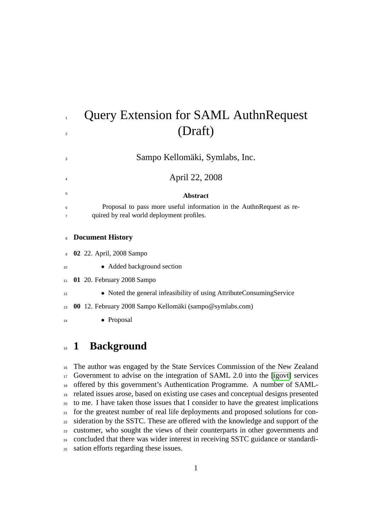# Query Extension for SAML AuthnRequest  $\sum_{2}$  (Draft)

Sampo Kellomäki, Symlabs, Inc.

April 22, 2008

#### **Abstract**

 Proposal to pass more useful information in the AuthnRequest as re-quired by real world deployment profiles.

#### **Document History**

**02** 22. April, 2008 Sampo

- Added background section
- **01** 20. February 2008 Sampo
- Noted the general infeasibility of using AttributeConsumingService

**00** 12. February 2008 Sampo Kellomäki (sampo@symlabs.com)

14 • Proposal

### **1 Background**

 The author was engaged by the State Services Commission of the New Zealand Government to advise on the integration of SAML 2.0 into the [\[igovt\]](#page-12-0) services offered by this government's Authentication Programme. A number of SAML- related issues arose, based on existing use cases and conceptual designs presented to me. I have taken those issues that I consider to have the greatest implications for the greatest number of real life deployments and proposed solutions for con- sideration by the SSTC. These are offered with the knowledge and support of the customer, who sought the views of their counterparts in other governments and concluded that there was wider interest in receiving SSTC guidance or standardi-sation efforts regarding these issues.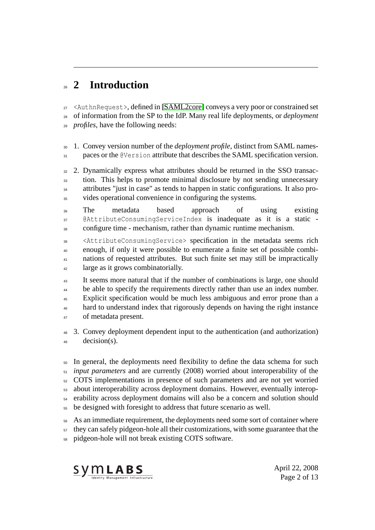# **2 Introduction**

 <AuthnRequest>, defined in [\[SAML2core\]](#page-10-0) conveys a very poor or constrained set of information from the SP to the IdP. Many real life deployments, or *deployment profiles*, have the following needs:

 1. Convey version number of the *deployment profile*, distinct from SAML names-31 paces or the @Version attribute that describes the SAML specification version.

 2. Dynamically express what attributes should be returned in the SSO transac- tion. This helps to promote minimal disclosure by not sending unnecessary <sup>34</sup> attributes "just in case" as tends to happen in static configurations. It also pro-vides operational convenience in configuring the systems.

 The metadata based approach of using existing @AttributeConsumingServiceIndex is inadequate as it is a static configure time - mechanism, rather than dynamic runtime mechanism.

 <AttributeConsumingService> specification in the metadata seems rich enough, if only it were possible to enumerate a finite set of possible combi- nations of requested attributes. But such finite set may still be impractically <sup>42</sup> large as it grows combinatorially.

<sup>43</sup> It seems more natural that if the number of combinations is large, one should <sup>44</sup> be able to specify the requirements directly rather than use an index number. <sup>45</sup> Explicit specification would be much less ambiguous and error prone than a <sup>46</sup> hard to understand index that rigorously depends on having the right instance of metadata present.

 3. Convey deployment dependent input to the authentication (and authorization) decision(s).

 In general, the deployments need flexibility to define the data schema for such *input parameters* and are currently (2008) worried about interoperability of the COTS implementations in presence of such parameters and are not yet worried about interoperability across deployment domains. However, eventually interop- erability across deployment domains will also be a concern and solution should be designed with foresight to address that future scenario as well.

 As an immediate requirement, the deployments need some sort of container where they can safely pidgeon-hole all their customizations, with some guarantee that the pidgeon-hole will not break existing COTS software.



April 22, 2008 Page 2 of 13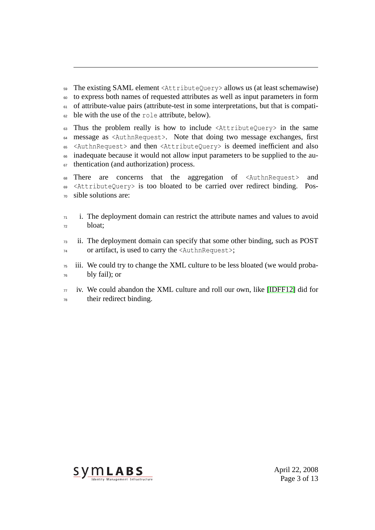The existing SAML element <AttributeQuery> allows us (at least schemawise) to express both names of requested attributes as well as input parameters in form <sup>61</sup> of attribute-value pairs (attribute-test in some interpretations, but that is compati-ble with the use of the role attribute, below).

 Thus the problem really is how to include  $\langle$ AttributeQuery> in the same message as <AuthnRequest>. Note that doing two message exchanges, first <AuthnRequest> and then <AttributeQuery> is deemed inefficient and also inadequate because it would not allow input parameters to be supplied to the au-<sup>67</sup> thentication (and authorization) process.

 There are concerns that the aggregation of <AuthnRequest> and <AttributeQuery> is too bloated to be carried over redirect binding. Pos-sible solutions are:

 i. The deployment domain can restrict the attribute names and values to avoid bloat;

 ii. The deployment domain can specify that some other binding, such as POST or artifact, is used to carry the <AuthnRequest>;

 iii. We could try to change the XML culture to be less bloated (we would proba-bly fail); or

 iv. We could abandon the XML culture and roll our own, like [\[IDFF12\]](#page-11-0) did for their redirect binding.



April 22, 2008 Page 3 of 13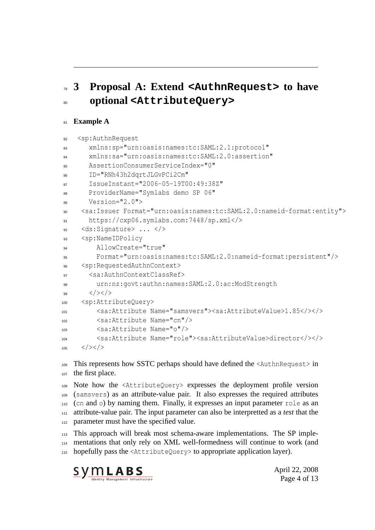# **3 Proposal A: Extend <AuthnRequest> to have optional <AttributeQuery>**

#### **Example A**

```
82 <sp:AuthnRequest
83 xmlns:sp="urn:oasis:names:tc:SAML:2.1:protocol"
       84 xmlns:sa="urn:oasis:names:tc:SAML:2.0:assertion"
       85 AssertionConsumerServiceIndex="0"
86 ID="RNh43h2dqrtJLGvPCi2Cm"
87 IssueInstant="2006-05-19T00:49:38Z"
88 ProviderName="Symlabs demo SP 06"
89 Version="2.0">
     90 <sa:Issuer Format="urn:oasis:names:tc:SAML:2.0:nameid-format:entity">
91 https://cxp06.symlabs.com:7448/sp.xml</>
92 <ds:Signature> ... </>
93 <sp:NameIDPolicy
94 AllowCreate="true"
95 Format="urn:oasis:names:tc:SAML:2.0:nameid-format:persistent"/>
96 <sp:RequestedAuthnContext>
       97 <sa:AuthnContextClassRef>
98 urn:nz:govt:authn:names:SAML:2.0:ac:ModStrength
99 \langle/>\langle/>
100 <sp:AttributeQuery>
101 <sa:Attribute Name="samsvers"><sa:AttributeValue>1.85</></>
102 <sa:Attribute Name="cn"/>
103 <sa:Attribute Name="o"/>
104 <sa:Attribute Name="role"><sa:AttributeValue>director</></>
105 \langle />\langle />
```
 This represents how SSTC perhaps should have defined the <AuthnRequest> in the first place.

 Note how the <AttributeQuery> expresses the deployment profile version (samsvers) as an attribute-value pair. It also expresses the required attributes (cn and o) by naming them. Finally, it expresses an input parameter role as an attribute-value pair. The input parameter can also be interpretted as a *test* that the 112 parameter must have the specified value.

 This approach will break most schema-aware implementations. The SP imple- mentations that only rely on XML well-formedness will continue to work (and hopefully pass the <AttributeQuery> to appropriate application layer).



April 22, 2008 Page 4 of 13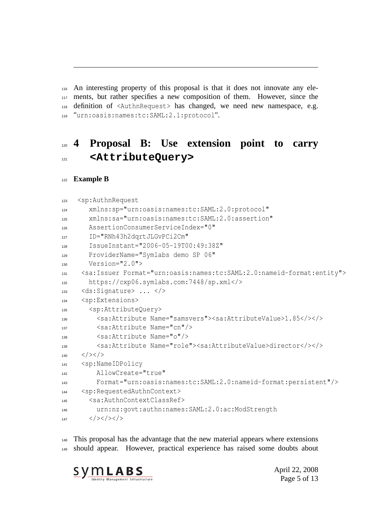An interesting property of this proposal is that it does not innovate any ele- ments, but rather specifies a new composition of them. However, since the definition of <AuthnRequest> has changed, we need new namespace, e.g. "urn:oasis:names:tc:SAML:2.1:protocol".

### **4 Proposal B: Use extension point to carry <AttributeQuery>**

#### **Example B**

```
123 <sp:AuthnRequest
124 xmlns:sp="urn:oasis:names:tc:SAML:2.0:protocol"
125 xmlns:sa="urn:oasis:names:tc:SAML:2.0:assertion"
126 AssertionConsumerServiceIndex="0"
127 ID="RNh43h2dqrtJLGvPCi2Cm"
128 IssueInstant="2006-05-19T00:49:38Z"
129 ProviderName="Symlabs demo SP 06"
130 Version="2.0">
131 <sa:Issuer Format="urn:oasis:names:tc:SAML:2.0:nameid-format:entity">
132 https://cxp06.symlabs.com:7448/sp.xml</>
133 \, <ds:Signature> ... </>
134 <sp:Extensions>
135 <sp:AttributeQuery>
136 <sa:Attribute Name="samsvers"><sa:AttributeValue>1.85</></>><</></>
137 <sa:Attribute Name="cn"/>
138 <sa:Attribute Name="o"/>
139 <sa:Attribute Name="role"><sa:AttributeValue>director</></>
140 </>> </>
141 <sp:NameIDPolicy
142 AllowCreate="true"
143 Format="urn:oasis:names:tc:SAML:2.0:nameid-format:persistent"/>
144 <sp:RequestedAuthnContext>
145 <sa:AuthnContextClassRef>
146 urn:nz:govt:authn:names:SAML:2.0:ac:ModStrength
147 \langle />\langle />\langle />\langle />
```
 This proposal has the advantage that the new material appears where extensions should appear. However, practical experience has raised some doubts about



April 22, 2008 Page 5 of 13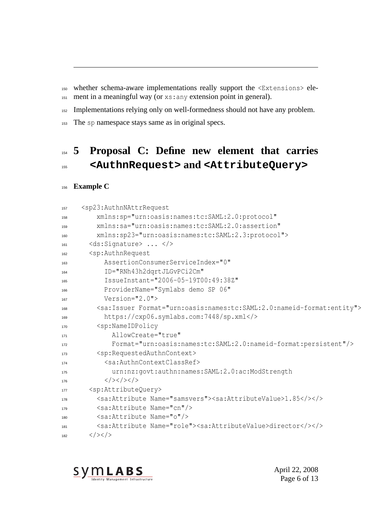whether schema-aware implementations really support the <Extensions> ele-ment in a meaningful way (or xs:any extension point in general).

152 Implementations relying only on well-formedness should not have any problem.

153 The sp namespace stays same as in original specs.

## **5 Proposal C: Define new element that carries <AuthnRequest> and <AttributeQuery>**

#### **Example C**

| 157 | <sp23:authnnattrrequest< th=""></sp23:authnnattrrequest<>                                            |
|-----|------------------------------------------------------------------------------------------------------|
| 158 | xmlns:sp="urn:oasis:names:tc:SAML:2.0:protocol"                                                      |
| 159 | xmlns:sa="urn:oasis:names:tc:SAML:2.0:assertion"                                                     |
| 160 | xmlns:sp23="urn:oasis:names:tc:SAML:2.3:protocol">                                                   |
| 161 | <ds:signature> </ds:signature>                                                                       |
| 162 | <sp:authnrequest< td=""></sp:authnrequest<>                                                          |
| 163 | AssertionConsumerServiceIndex="0"                                                                    |
| 164 | ID="RNh43h2dqrtJLGvPCi2Cm"                                                                           |
| 165 | IssueInstant="2006-05-19T00:49:38Z"                                                                  |
| 166 | ProviderName="Symlabs demo SP 06"                                                                    |
| 167 | Version= $"2.0"$                                                                                     |
| 168 | <sa: format="urn: oasis: names: tc: SAML: 2.0: nameid-format: entity" issuer=""></sa:>               |
| 169 | https://cxp06.symlabs.com:7448/sp.xml                                                                |
| 170 | <sp:nameidpolicy< td=""></sp:nameidpolicy<>                                                          |
| 171 | AllowCreate="true"                                                                                   |
| 172 | Format="urn:oasis:names:tc:SAML:2.0:nameid-format:persistent"/>                                      |
| 173 | <sp:requestedauthncontext></sp:requestedauthncontext>                                                |
| 174 | <sa:authncontextclassref></sa:authncontextclassref>                                                  |
| 175 | urn:nz:govt:authn:names:SAML:2.0:ac:ModStrength                                                      |
| 176 | $\langle$ /> $\langle$ /> $\langle$ />                                                               |
| 177 | <sp:attributequery></sp:attributequery>                                                              |
| 178 | <sa:attribute name="samsvers"><sa:attributevalue>1.85&gt;&gt;&gt;</sa:attributevalue></sa:attribute> |
| 179 | <sa:attribute name="cn"></sa:attribute>                                                              |
| 180 | <sa:attribute name="o"></sa:attribute>                                                               |
| 181 | <sa:attribute name="role"><sa:attributevalue>director&gt;&gt;&gt;</sa:attributevalue></sa:attribute> |
| 182 | $\langle$ /> $\langle$ />                                                                            |



April 22, 2008 Page 6 of 13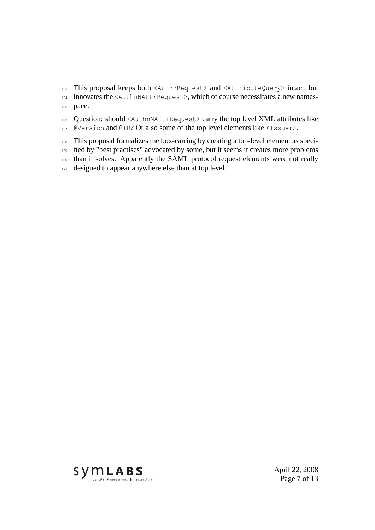This proposal keeps both <AuthnRequest> and <AttributeQuery> intact, but innovates the <AuthnNAttrRequest>, which of course necessitates a new names-pace.

 Question: should <AuthnNAttrRequest> carry the top level XML attributes like @Version and @ID? Or also some of the top level elements like <Issuer>.

 This proposal formalizes the box-carring by creating a top-level element as speci- fied by "best practises" advocated by some, but it seems it creates more problems than it solves. Apparently the SAML protocol request elements were not really designed to appear anywhere else than at top level.



April 22, 2008 Page 7 of 13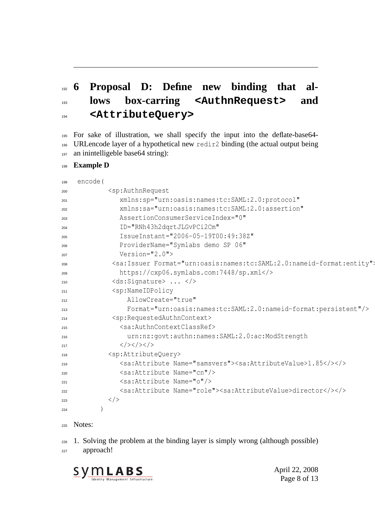# **6 Proposal D: Define new binding that al- lows box-carring <AuthnRequest> and <AttributeQuery>**

- For sake of illustration, we shall specify the input into the deflate-base64- URLencode layer of a hypothetical new redir2 binding (the actual output being 197 an inintelligeble base64 string):
- **Example D**

| 199 | encode ( |                                                                                                      |
|-----|----------|------------------------------------------------------------------------------------------------------|
| 200 |          | <sp:authnrequest< td=""></sp:authnrequest<>                                                          |
| 201 |          | xmlns:sp="urn:oasis:names:tc:SAML:2.0:protocol"                                                      |
| 202 |          | xmlns:sa="urn:oasis:names:tc:SAML:2.0:assertion"                                                     |
| 203 |          | AssertionConsumerServiceIndex="0"                                                                    |
| 204 |          | ID="RNh43h2dqrtJLGvPCi2Cm"                                                                           |
| 205 |          | IssueInstant="2006-05-19T00:49:38Z"                                                                  |
| 206 |          | ProviderName="Symlabs demo SP 06"                                                                    |
| 207 |          | $Version="2.0"$                                                                                      |
| 208 |          | <sa: format="urn: oasis: names: tc: SAML: 2.0: nameid-format: entity" issuer=""></sa:>               |
| 209 |          | https://cxp06.symlabs.com:7448/sp.xml                                                                |
| 210 |          | <ds:signature> </ds:signature>                                                                       |
| 211 |          | <sp:nameidpolicy< td=""></sp:nameidpolicy<>                                                          |
| 212 |          | AllowCreate="true"                                                                                   |
| 213 |          | Format="urn:oasis:names:tc:SAML:2.0:nameid-format:persistent"/>                                      |
| 214 |          | <sp:requestedauthncontext></sp:requestedauthncontext>                                                |
| 215 |          | <sa:authncontextclassref></sa:authncontextclassref>                                                  |
| 216 |          | urn:nz:govt:authn:names:SAML:2.0:ac:ModStrength                                                      |
| 217 |          | $\langle$ /> $\langle$ /> $\langle$ />                                                               |
| 218 |          | <sp:attributequery></sp:attributequery>                                                              |
| 219 |          | <sa:attribute name="samsvers"><sa:attributevalue>1.85&gt;&gt;&gt;</sa:attributevalue></sa:attribute> |
| 220 |          | <sa:attribute name="cn"></sa:attribute>                                                              |
| 221 |          | <sa:attribute name="o"></sa:attribute>                                                               |
| 222 |          | <sa:attribute name="role"><sa:attributevalue>director&gt;</sa:attributevalue></sa:attribute>         |
| 223 |          | $\langle$ />                                                                                         |
| 224 |          |                                                                                                      |

Notes:

 1. Solving the problem at the binding layer is simply wrong (although possible) approach!



April 22, 2008 Page 8 of 13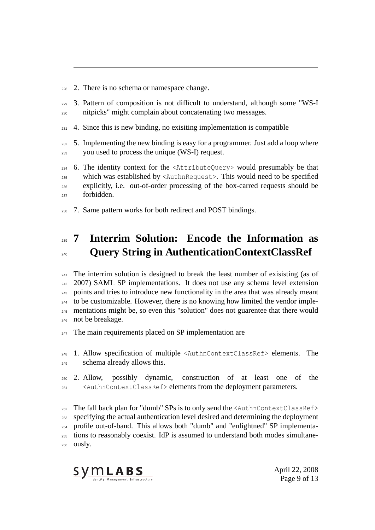- 2. There is no schema or namespace change.
- 3. Pattern of composition is not difficult to understand, although some "WS-I nitpicks" might complain about concatenating two messages.
- 4. Since this is new binding, no exisiting implementation is compatible
- 5. Implementing the new binding is easy for a programmer. Just add a loop where you used to process the unique (WS-I) request.
- 6. The identity context for the  $\forall$ AttributeQuery> would presumably be that which was established by <AuthnRequest>. This would need to be specified explicitly, i.e. out-of-order processing of the box-carred requests should be forbidden.
- 7. Same pattern works for both redirect and POST bindings.

### **7 Interrim Solution: Encode the Information as Query String in AuthenticationContextClassRef**

 $_{241}$  The interrim solution is designed to break the least number of exisisting (as of 2007) SAML SP implementations. It does not use any schema level extension points and tries to introduce new functionality in the area that was already meant to be customizable. However, there is no knowing how limited the vendor imple- mentations might be, so even this "solution" does not guarentee that there would not be breakage.

The main requirements placed on SP implementation are

- 1. Allow specification of multiple <AuthnContextClassRef> elements. The schema already allows this.
- 2. Allow, possibly dynamic, construction of at least one of the <AuthnContextClassRef> elements from the deployment parameters.

 The fall back plan for "dumb" SPs is to only send the <AuthnContextClassRef> specifying the actual authentication level desired and determining the deployment profile out-of-band. This allows both "dumb" and "enlightned" SP implementa- tions to reasonably coexist. IdP is assumed to understand both modes simultane-ously.



April 22, 2008 Page 9 of 13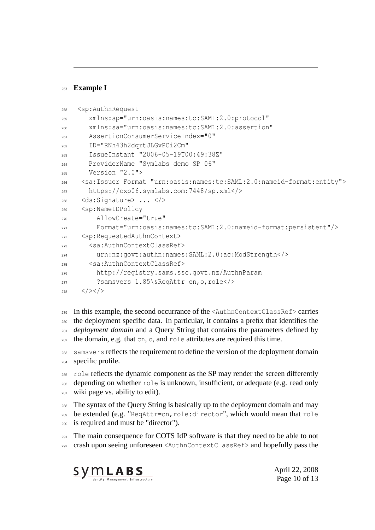#### **Example I**

```
258 <sp:AuthnRequest
259 xmlns:sp="urn:oasis:names:tc:SAML:2.0:protocol"
260 xmlns:sa="urn:oasis:names:tc:SAML:2.0:assertion"
261 AssertionConsumerServiceIndex="0"
262 ID="RNh43h2dqrtJLGvPCi2Cm"
263 IssueInstant="2006-05-19T00:49:38Z"
264 ProviderName="Symlabs demo SP 06"
265 Version="2.0">
266 <sa:Issuer Format="urn:oasis:names:tc:SAML:2.0:nameid-format:entity">
267 https://cxp06.symlabs.com:7448/sp.xml</>
268 <ds:Signature> ... </>
269 <sp:NameIDPolicy
        AllowCreate="true"
271 Format="urn:oasis:names:tc:SAML:2.0:nameid-format:persistent"/>
272 <sp:RequestedAuthnContext>
273 <sa:AuthnContextClassRef>
274 urn:nz:govt:authn:names:SAML:2.0:ac:ModStrength</>
275 <sa:AuthnContextClassRef>
276 http://registry.sams.ssc.govt.nz/AuthnParam
277 ?samsvers=1.85\&ReqAttr=cn,o,role</>
278 </>> </>
```
- In this example, the second occurrance of the <AuthnContextClassRef> carries the deployment specific data. In particular, it contains a prefix that identifies the *deployment domain* and a Query String that contains the parameters defined by the domain, e.g. that cn, o, and role attributes are required this time.
- samsvers reflects the requirement to define the version of the deployment domain specific profile.
- role reflects the dynamic component as the SP may render the screen differently depending on whether role is unknown, insufficient, or adequate (e.g. read only wiki page vs. ability to edit).
- The syntax of the Query String is basically up to the deployment domain and may be extended (e.g. "ReqAttr=cn,role:director", which would mean that role is required and must be "director").
- $_{291}$  The main consequence for COTS IdP software is that they need to be able to not crash upon seeing unforeseen <AuthnContextClassRef> and hopefully pass the



April 22, 2008 Page 10 of 13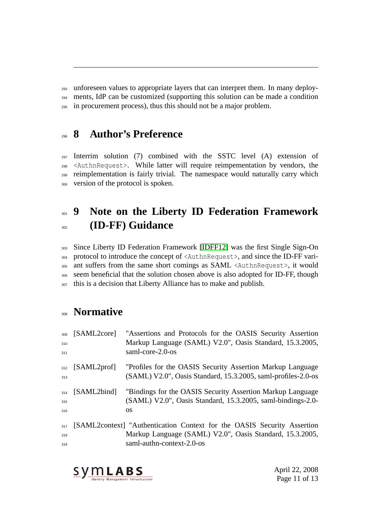unforeseen values to appropriate layers that can interpret them. In many deploy-

ments, IdP can be customized (supporting this solution can be made a condition

in procurement process), thus this should not be a major problem.

### **8 Author's Preference**

 Interrim solution (7) combined with the SSTC level (A) extension of <AuthnRequest>. While latter will require reimpementation by vendors, the reimplementation is fairly trivial. The namespace would naturally carry which version of the protocol is spoken.

# **9 Note on the Liberty ID Federation Framework (ID-FF) Guidance**

 Since Liberty ID Federation Framework [\[IDFF12\]](#page-11-0) was the first Single Sign-On protocol to introduce the concept of <AuthnRequest>, and since the ID-FF vari- ant suffers from the same short comings as SAML <AuthnRequest>, it would seem beneficial that the solution chosen above is also adopted for ID-FF, though this is a decision that Liberty Alliance has to make and publish.

### **Normative**

<span id="page-10-0"></span>

| 309<br>310<br>311 | [SAML2core]       | "Assertions and Protocols for the OASIS Security Assertion<br>Markup Language (SAML) V2.0", Oasis Standard, 15.3.2005,<br>saml-core-2.0-os                       |
|-------------------|-------------------|------------------------------------------------------------------------------------------------------------------------------------------------------------------|
| 313               | $312$ [SAML2prof] | "Profiles for the OASIS Security Assertion Markup Language<br>(SAML) V2.0", Oasis Standard, 15.3.2005, saml-profiles-2.0-os                                      |
| 314<br>315<br>316 | [SAML2bind]       | "Bindings for the OASIS Security Assertion Markup Language<br>(SAML) V2.0", Oasis Standard, 15.3.2005, saml-bindings-2.0-<br>OS.                                 |
| 317<br>318<br>319 |                   | [SAML2context] "Authentication Context for the OASIS Security Assertion<br>Markup Language (SAML) V2.0", Oasis Standard, 15.3.2005,<br>saml-authn-context-2.0-os |



April 22, 2008 Page 11 of 13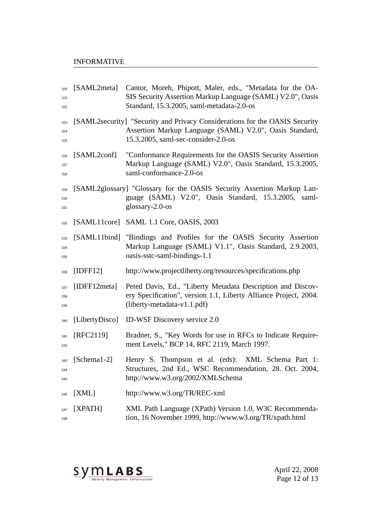#### INFORMATIVE

<span id="page-11-0"></span>

| 320<br>321<br>322 | [SAML2meta]    | Cantor, Moreh, Phipott, Maler, eds., "Metadata for the OA-<br>SIS Security Assertion Markup Language (SAML) V2.0", Oasis<br>Standard, 15.3.2005, saml-metadata-2.0-os         |
|-------------------|----------------|-------------------------------------------------------------------------------------------------------------------------------------------------------------------------------|
| 323<br>324<br>325 |                | [SAML2security] "Security and Privacy Considerations for the OASIS Security<br>Assertion Markup Language (SAML) V2.0", Oasis Standard,<br>15.3.2005, saml-sec-consider-2.0-os |
| 326<br>327<br>328 | [SAML2conf]    | "Conformance Requirements for the OASIS Security Assertion<br>Markup Language (SAML) V2.0", Oasis Standard, 15.3.2005,<br>saml-conformance-2.0-os                             |
| 329<br>330<br>331 |                | [SAML2glossary] "Glossary for the OASIS Security Assertion Markup Lan-<br>guage (SAML) V2.0", Oasis Standard, 15.3.2005, saml-<br>glossary- $2.0$ -os                         |
| 332               |                | [SAML11core] SAML 1.1 Core, OASIS, 2003                                                                                                                                       |
| 333<br>334<br>335 |                | [SAML11bind] "Bindings and Profiles for the OASIS Security Assertion<br>Markup Language (SAML) V1.1", Oasis Standard, 2.9.2003,<br>oasis-sstc-saml-bindings-1.1               |
| 336               | [IDFF12]       | http://www.projectliberty.org/resources/specifications.php                                                                                                                    |
| 337<br>338<br>339 | [IDFF12meta]   | Peted Davis, Ed., "Liberty Metadata Description and Discov-<br>ery Specification", version 1.1, Liberty Alliance Project, 2004.<br>$(liberty-metalata-v1.1.pdf)$              |
| 340               | [LibertyDisco] | <b>ID-WSF Discovery service 2.0</b>                                                                                                                                           |
| 341<br>342        | [RFC2119]      | Bradner, S., "Key Words for use in RFCs to Indicate Require-<br>ment Levels," BCP 14, RFC 2119, March 1997.                                                                   |
| 343<br>344<br>345 | $[Schema1-2]$  | Henry S. Thompson et al. (eds): XML Schema Part 1:<br>Structures, 2nd Ed., WSC Recommendation, 28. Oct. 2004,<br>http://www.w3.org/2002/XMLSchema                             |
| 346               | [XML]          | http://www.w3.org/TR/REC-xml                                                                                                                                                  |
| 347<br>348        | [XPATH]        | XML Path Language (XPath) Version 1.0, W3C Recommenda-<br>tion, 16 November 1999, http://www.w3.org/TR/xpath.html                                                             |



April 22, 2008 Page 12 of 13